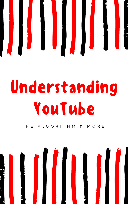

# Understanding YouTube



#### T H E A L G O R I T H M & M O R E

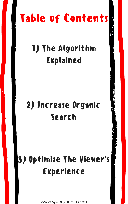## Table of Contents

### 1) The Algorithm Explained

#### 2) Increase Organic



### 3) Optimize The Viewer's Experience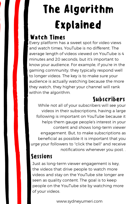While not all of your subscribers will see your

videos in their subscriptions, having a large following is important on YouTube because it helps them gauge people's interest in your content and shows long-term viewer engagement. But, to make subscriptions as beneficial as possible it is important that you urge your followers to "click the bell" and receive notifications whenever you post. .

Just as long-term viewer engagement is key, the videos that drive people to watch more videos and stay on the YouTube site longer are seen as quality content. The goal is to keep people on the YouTube site by watching more of your videos.

## The Algorithm Explained

#### Watch Times

#### Sessions

#### Subscribers

Every platform has a sweet spot for video views and watch times, YouTube is no different. The average length of videos viewed on YouTube is 4 minutes and 20 seconds, but it's important to know your audience. For example, if you're in the gaming community, they typically respond well to longer videos. The key is to make sure your audience is actually watching because the more they watch, they higher your channel will rank within the algorithm.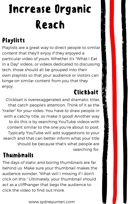## Increase Organic Reach

#### Playlists

Playlists are a great way to direct people to similar content that they'll enjoy if they enjoyed a particular video of yours. Whether it's "What I Eat In a Day" videos, or videos dedicated to discussing tech, those should all be grouped into their own playlists so that your audience or visitors can binge on similar content from you that they enjoy.

#### Clickbait

Clickbait is overexaggerated and dramatic titles that catch people's attention. Think of it as the

"trailer" for your video. You have to draw people in with a catchy title, so make it good! Another way to do this is by searching YouTube videos with content similar to the one you're about to post. Typically YouTube will add suggestions to your search and that can better inform what your title should be because that's what people are searching for.

#### Thumbnails

The days of static and boring thumbnails are far behind us. Make sure your thumbnail makes the audience wonder, "What will I missing if I don't click on this." Ultimately, your thumbnail should act as a cliffhanger that begs the audience to click the video to find out more.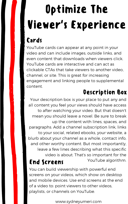## Optimize The Viewer's Experience Cards

YouTube cards can appear at any point in your video and can include images, outside links, and even content that downloads when viewers click. YouTube cards are interactive and can act as clickable CTAs that take viewers to another video, channel, or site. This is great for increasing engagement and linking people to supplemental content.

#### Description Box

to after watching your video. But that doesn't mean you should leave a novel. Be sure to break up the content with lines, spaces, and paragraphs. Add a channel subscription link, links to your social, related ebooks, your website, a blurb about your channel as a whole, contact info, and other worthy content. But most importantly, leave a few lines describing what this specific video is about. That's so important for the End Screens YouTube algorithm.

Your description box is your place to put any and all content you feel your views should have access

You can build viewership with powerful end screens on your videos, which show on desktop and mobile devices. Use end screens at the end of a video to: point viewers to other videos, playlists, or channels on YouTube.